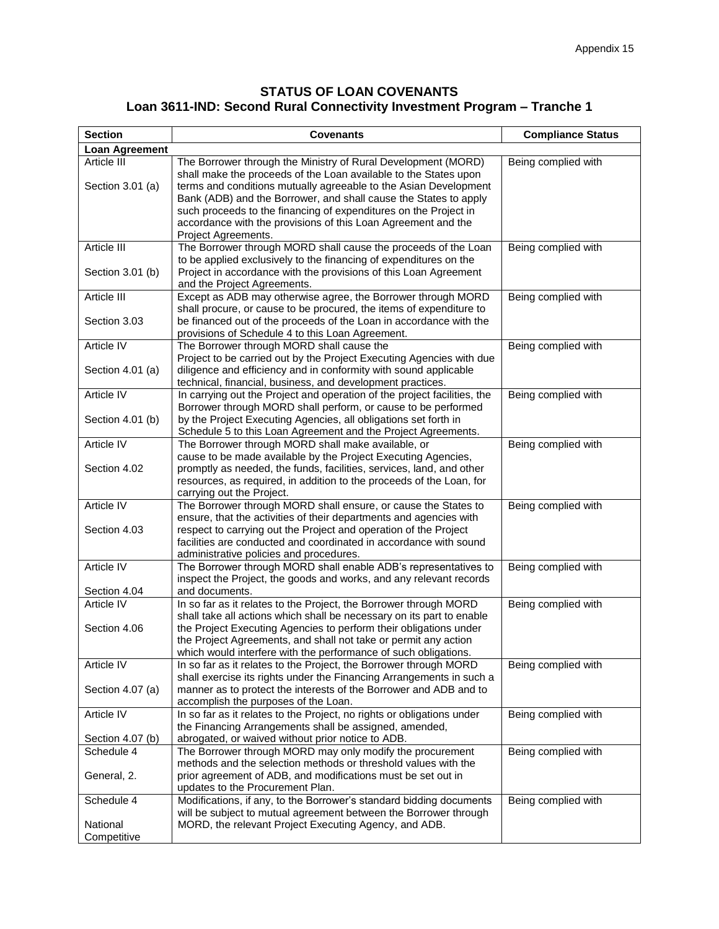## **STATUS OF LOAN COVENANTS Loan 3611-IND: Second Rural Connectivity Investment Program – Tranche 1**

| <b>Section</b>                  | <b>Covenants</b>                                                                                                                                                                                                                                                                                                                                                                                               | <b>Compliance Status</b> |
|---------------------------------|----------------------------------------------------------------------------------------------------------------------------------------------------------------------------------------------------------------------------------------------------------------------------------------------------------------------------------------------------------------------------------------------------------------|--------------------------|
| <b>Loan Agreement</b>           |                                                                                                                                                                                                                                                                                                                                                                                                                |                          |
| Article III<br>Section 3.01 (a) | The Borrower through the Ministry of Rural Development (MORD)<br>shall make the proceeds of the Loan available to the States upon<br>terms and conditions mutually agreeable to the Asian Development<br>Bank (ADB) and the Borrower, and shall cause the States to apply<br>such proceeds to the financing of expenditures on the Project in<br>accordance with the provisions of this Loan Agreement and the | Being complied with      |
| Article III                     | Project Agreements.<br>The Borrower through MORD shall cause the proceeds of the Loan                                                                                                                                                                                                                                                                                                                          | Being complied with      |
| Section 3.01 (b)                | to be applied exclusively to the financing of expenditures on the<br>Project in accordance with the provisions of this Loan Agreement<br>and the Project Agreements.                                                                                                                                                                                                                                           |                          |
| Article III                     | Except as ADB may otherwise agree, the Borrower through MORD                                                                                                                                                                                                                                                                                                                                                   | Being complied with      |
| Section 3.03                    | shall procure, or cause to be procured, the items of expenditure to<br>be financed out of the proceeds of the Loan in accordance with the<br>provisions of Schedule 4 to this Loan Agreement.                                                                                                                                                                                                                  |                          |
| Article IV                      | The Borrower through MORD shall cause the                                                                                                                                                                                                                                                                                                                                                                      | Being complied with      |
| Section 4.01 (a)                | Project to be carried out by the Project Executing Agencies with due<br>diligence and efficiency and in conformity with sound applicable<br>technical, financial, business, and development practices.                                                                                                                                                                                                         |                          |
| <b>Article IV</b>               | In carrying out the Project and operation of the project facilities, the                                                                                                                                                                                                                                                                                                                                       | Being complied with      |
| Section 4.01 (b)                | Borrower through MORD shall perform, or cause to be performed<br>by the Project Executing Agencies, all obligations set forth in<br>Schedule 5 to this Loan Agreement and the Project Agreements.                                                                                                                                                                                                              |                          |
| Article IV                      | The Borrower through MORD shall make available, or                                                                                                                                                                                                                                                                                                                                                             | Being complied with      |
| Section 4.02                    | cause to be made available by the Project Executing Agencies,<br>promptly as needed, the funds, facilities, services, land, and other<br>resources, as required, in addition to the proceeds of the Loan, for<br>carrying out the Project.                                                                                                                                                                     |                          |
| Article IV                      | The Borrower through MORD shall ensure, or cause the States to                                                                                                                                                                                                                                                                                                                                                 | Being complied with      |
| Section 4.03                    | ensure, that the activities of their departments and agencies with<br>respect to carrying out the Project and operation of the Project<br>facilities are conducted and coordinated in accordance with sound<br>administrative policies and procedures.                                                                                                                                                         |                          |
| Article IV<br>Section 4.04      | The Borrower through MORD shall enable ADB's representatives to<br>inspect the Project, the goods and works, and any relevant records<br>and documents.                                                                                                                                                                                                                                                        | Being complied with      |
| Article IV                      | In so far as it relates to the Project, the Borrower through MORD                                                                                                                                                                                                                                                                                                                                              | Being complied with      |
| Section 4.06                    | shall take all actions which shall be necessary on its part to enable<br>the Project Executing Agencies to perform their obligations under<br>the Project Agreements, and shall not take or permit any action<br>which would interfere with the performance of such obligations.                                                                                                                               |                          |
| Article IV                      | In so far as it relates to the Project, the Borrower through MORD                                                                                                                                                                                                                                                                                                                                              | Being complied with      |
| Section 4.07 (a)                | shall exercise its rights under the Financing Arrangements in such a<br>manner as to protect the interests of the Borrower and ADB and to<br>accomplish the purposes of the Loan.                                                                                                                                                                                                                              |                          |
| Article IV                      | In so far as it relates to the Project, no rights or obligations under                                                                                                                                                                                                                                                                                                                                         | Being complied with      |
|                                 | the Financing Arrangements shall be assigned, amended,                                                                                                                                                                                                                                                                                                                                                         |                          |
| Section 4.07 (b)<br>Schedule 4  | abrogated, or waived without prior notice to ADB.<br>The Borrower through MORD may only modify the procurement                                                                                                                                                                                                                                                                                                 | Being complied with      |
|                                 | methods and the selection methods or threshold values with the                                                                                                                                                                                                                                                                                                                                                 |                          |
| General, 2.                     | prior agreement of ADB, and modifications must be set out in<br>updates to the Procurement Plan.                                                                                                                                                                                                                                                                                                               |                          |
| Schedule 4                      | Modifications, if any, to the Borrower's standard bidding documents                                                                                                                                                                                                                                                                                                                                            | Being complied with      |
| National<br>Competitive         | will be subject to mutual agreement between the Borrower through<br>MORD, the relevant Project Executing Agency, and ADB.                                                                                                                                                                                                                                                                                      |                          |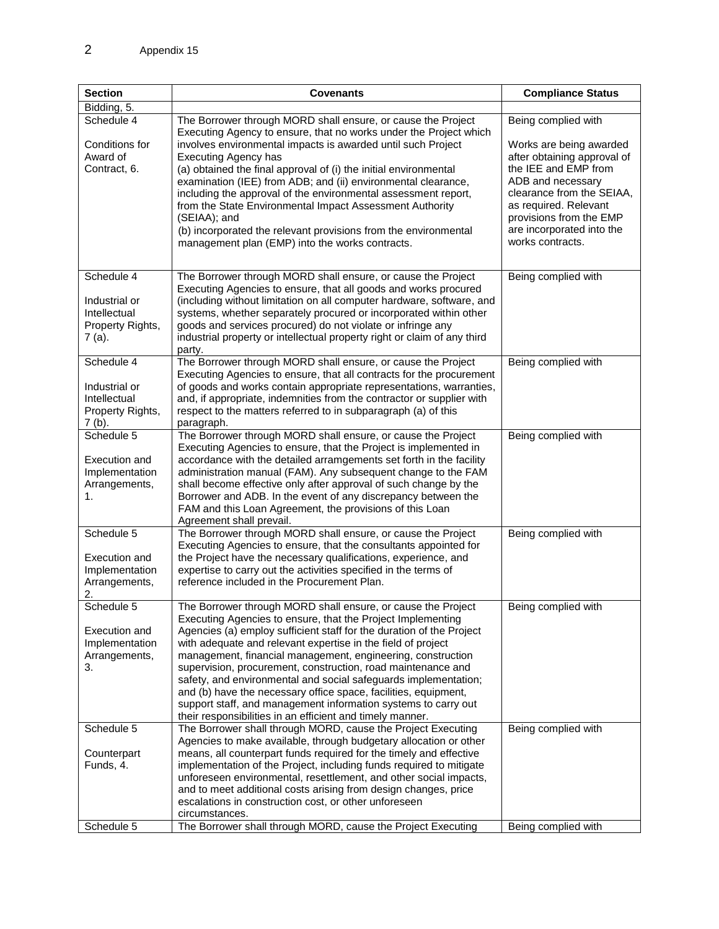| <b>Section</b>                                                              | <b>Covenants</b>                                                                                                                                                                                                                                                                                                                                                                                                                                                                                                                                                                                                                                                        | <b>Compliance Status</b>                                                                                                                                                                                                                                     |
|-----------------------------------------------------------------------------|-------------------------------------------------------------------------------------------------------------------------------------------------------------------------------------------------------------------------------------------------------------------------------------------------------------------------------------------------------------------------------------------------------------------------------------------------------------------------------------------------------------------------------------------------------------------------------------------------------------------------------------------------------------------------|--------------------------------------------------------------------------------------------------------------------------------------------------------------------------------------------------------------------------------------------------------------|
| Bidding, 5.                                                                 |                                                                                                                                                                                                                                                                                                                                                                                                                                                                                                                                                                                                                                                                         |                                                                                                                                                                                                                                                              |
| Schedule 4<br>Conditions for<br>Award of<br>Contract, 6.                    | The Borrower through MORD shall ensure, or cause the Project<br>Executing Agency to ensure, that no works under the Project which<br>involves environmental impacts is awarded until such Project<br><b>Executing Agency has</b><br>(a) obtained the final approval of (i) the initial environmental<br>examination (IEE) from ADB; and (ii) environmental clearance,<br>including the approval of the environmental assessment report,<br>from the State Environmental Impact Assessment Authority<br>(SEIAA); and<br>(b) incorporated the relevant provisions from the environmental<br>management plan (EMP) into the works contracts.                               | Being complied with<br>Works are being awarded<br>after obtaining approval of<br>the IEE and EMP from<br>ADB and necessary<br>clearance from the SEIAA,<br>as required. Relevant<br>provisions from the EMP<br>are incorporated into the<br>works contracts. |
| Schedule 4<br>Industrial or<br>Intellectual<br>Property Rights,<br>7 (a).   | The Borrower through MORD shall ensure, or cause the Project<br>Executing Agencies to ensure, that all goods and works procured<br>(including without limitation on all computer hardware, software, and<br>systems, whether separately procured or incorporated within other<br>goods and services procured) do not violate or infringe any<br>industrial property or intellectual property right or claim of any third<br>party.                                                                                                                                                                                                                                      | Being complied with                                                                                                                                                                                                                                          |
| Schedule 4<br>Industrial or<br>Intellectual<br>Property Rights,<br>7 (b).   | The Borrower through MORD shall ensure, or cause the Project<br>Executing Agencies to ensure, that all contracts for the procurement<br>of goods and works contain appropriate representations, warranties,<br>and, if appropriate, indemnities from the contractor or supplier with<br>respect to the matters referred to in subparagraph (a) of this<br>paragraph.                                                                                                                                                                                                                                                                                                    | Being complied with                                                                                                                                                                                                                                          |
| Schedule 5<br><b>Execution and</b><br>Implementation<br>Arrangements,<br>1. | The Borrower through MORD shall ensure, or cause the Project<br>Executing Agencies to ensure, that the Project is implemented in<br>accordance with the detailed arramgements set forth in the facility<br>administration manual (FAM). Any subsequent change to the FAM<br>shall become effective only after approval of such change by the<br>Borrower and ADB. In the event of any discrepancy between the<br>FAM and this Loan Agreement, the provisions of this Loan<br>Agreement shall prevail.                                                                                                                                                                   | Being complied with                                                                                                                                                                                                                                          |
| Schedule 5<br>Execution and<br>Implementation<br>Arrangements,<br>2.        | The Borrower through MORD shall ensure, or cause the Project<br>Executing Agencies to ensure, that the consultants appointed for<br>the Project have the necessary qualifications, experience, and<br>expertise to carry out the activities specified in the terms of<br>reference included in the Procurement Plan.                                                                                                                                                                                                                                                                                                                                                    | Being complied with                                                                                                                                                                                                                                          |
| Schedule 5<br>Execution and<br>Implementation<br>Arrangements,<br>3.        | The Borrower through MORD shall ensure, or cause the Project<br>Executing Agencies to ensure, that the Project Implementing<br>Agencies (a) employ sufficient staff for the duration of the Project<br>with adequate and relevant expertise in the field of project<br>management, financial management, engineering, construction<br>supervision, procurement, construction, road maintenance and<br>safety, and environmental and social safeguards implementation;<br>and (b) have the necessary office space, facilities, equipment,<br>support staff, and management information systems to carry out<br>their responsibilities in an efficient and timely manner. | Being complied with                                                                                                                                                                                                                                          |
| Schedule 5<br>Counterpart<br>Funds, 4.<br>Schedule 5                        | The Borrower shall through MORD, cause the Project Executing<br>Agencies to make available, through budgetary allocation or other<br>means, all counterpart funds required for the timely and effective<br>implementation of the Project, including funds required to mitigate<br>unforeseen environmental, resettlement, and other social impacts,<br>and to meet additional costs arising from design changes, price<br>escalations in construction cost, or other unforeseen<br>circumstances.<br>The Borrower shall through MORD, cause the Project Executing                                                                                                       | Being complied with<br>Being complied with                                                                                                                                                                                                                   |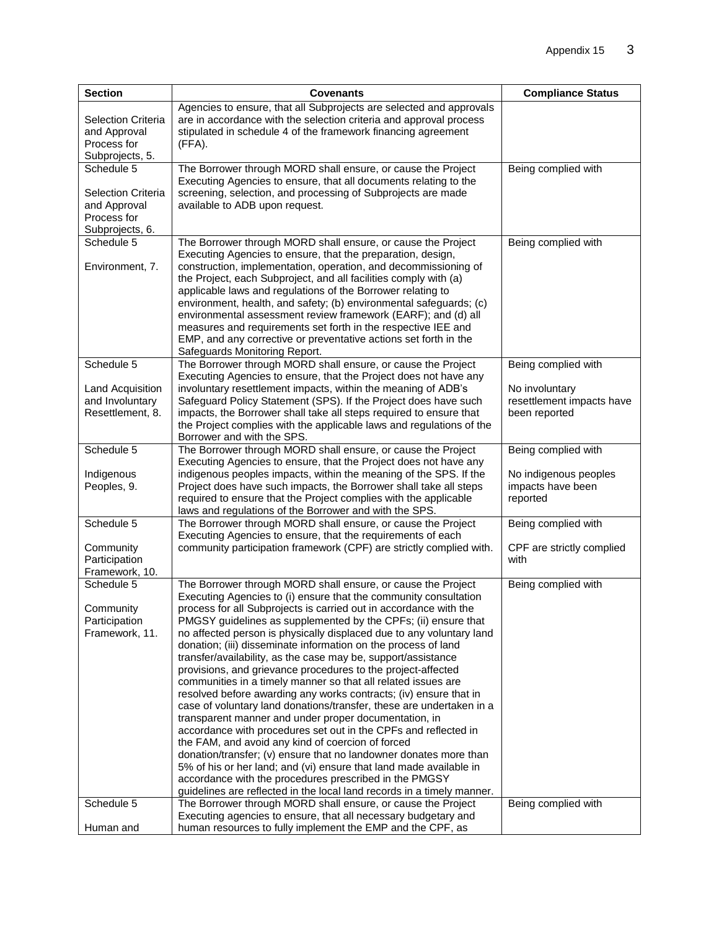| <b>Section</b>                                                                            | <b>Covenants</b>                                                                                                                                                                                                                                                                                                                                                                                                                                                                                                                                                                                                                                                                                                                                                                                                                                                                                                                                                                                                                                                                                                                                                                                                                 | <b>Compliance Status</b>                                                            |
|-------------------------------------------------------------------------------------------|----------------------------------------------------------------------------------------------------------------------------------------------------------------------------------------------------------------------------------------------------------------------------------------------------------------------------------------------------------------------------------------------------------------------------------------------------------------------------------------------------------------------------------------------------------------------------------------------------------------------------------------------------------------------------------------------------------------------------------------------------------------------------------------------------------------------------------------------------------------------------------------------------------------------------------------------------------------------------------------------------------------------------------------------------------------------------------------------------------------------------------------------------------------------------------------------------------------------------------|-------------------------------------------------------------------------------------|
| <b>Selection Criteria</b><br>and Approval<br>Process for<br>Subprojects, 5.               | Agencies to ensure, that all Subprojects are selected and approvals<br>are in accordance with the selection criteria and approval process<br>stipulated in schedule 4 of the framework financing agreement<br>(FFA).                                                                                                                                                                                                                                                                                                                                                                                                                                                                                                                                                                                                                                                                                                                                                                                                                                                                                                                                                                                                             |                                                                                     |
| Schedule 5<br><b>Selection Criteria</b><br>and Approval<br>Process for<br>Subprojects, 6. | The Borrower through MORD shall ensure, or cause the Project<br>Executing Agencies to ensure, that all documents relating to the<br>screening, selection, and processing of Subprojects are made<br>available to ADB upon request.                                                                                                                                                                                                                                                                                                                                                                                                                                                                                                                                                                                                                                                                                                                                                                                                                                                                                                                                                                                               | Being complied with                                                                 |
| Schedule 5<br>Environment, 7.                                                             | The Borrower through MORD shall ensure, or cause the Project<br>Executing Agencies to ensure, that the preparation, design,<br>construction, implementation, operation, and decommissioning of<br>the Project, each Subproject, and all facilities comply with (a)<br>applicable laws and regulations of the Borrower relating to<br>environment, health, and safety; (b) environmental safeguards; (c)<br>environmental assessment review framework (EARF); and (d) all<br>measures and requirements set forth in the respective IEE and<br>EMP, and any corrective or preventative actions set forth in the<br>Safeguards Monitoring Report.                                                                                                                                                                                                                                                                                                                                                                                                                                                                                                                                                                                   | Being complied with                                                                 |
| Schedule 5<br>Land Acquisition<br>and Involuntary<br>Resettlement, 8.                     | The Borrower through MORD shall ensure, or cause the Project<br>Executing Agencies to ensure, that the Project does not have any<br>involuntary resettlement impacts, within the meaning of ADB's<br>Safeguard Policy Statement (SPS). If the Project does have such<br>impacts, the Borrower shall take all steps required to ensure that<br>the Project complies with the applicable laws and regulations of the<br>Borrower and with the SPS.                                                                                                                                                                                                                                                                                                                                                                                                                                                                                                                                                                                                                                                                                                                                                                                 | Being complied with<br>No involuntary<br>resettlement impacts have<br>been reported |
| Schedule 5<br>Indigenous<br>Peoples, 9.                                                   | The Borrower through MORD shall ensure, or cause the Project<br>Executing Agencies to ensure, that the Project does not have any<br>indigenous peoples impacts, within the meaning of the SPS. If the<br>Project does have such impacts, the Borrower shall take all steps<br>required to ensure that the Project complies with the applicable<br>laws and regulations of the Borrower and with the SPS.                                                                                                                                                                                                                                                                                                                                                                                                                                                                                                                                                                                                                                                                                                                                                                                                                         | Being complied with<br>No indigenous peoples<br>impacts have been<br>reported       |
| Schedule 5<br>Community<br>Participation<br>Framework, 10.                                | The Borrower through MORD shall ensure, or cause the Project<br>Executing Agencies to ensure, that the requirements of each<br>community participation framework (CPF) are strictly complied with.                                                                                                                                                                                                                                                                                                                                                                                                                                                                                                                                                                                                                                                                                                                                                                                                                                                                                                                                                                                                                               | Being complied with<br>CPF are strictly complied<br>with                            |
| Schedule 5<br>Community<br>Participation<br>Framework, 11.                                | The Borrower through MORD shall ensure, or cause the Project<br>Executing Agencies to (i) ensure that the community consultation<br>process for all Subprojects is carried out in accordance with the<br>PMGSY guidelines as supplemented by the CPFs; (ii) ensure that<br>no affected person is physically displaced due to any voluntary land<br>donation; (iii) disseminate information on the process of land<br>transfer/availability, as the case may be, support/assistance<br>provisions, and grievance procedures to the project-affected<br>communities in a timely manner so that all related issues are<br>resolved before awarding any works contracts; (iv) ensure that in<br>case of voluntary land donations/transfer, these are undertaken in a<br>transparent manner and under proper documentation, in<br>accordance with procedures set out in the CPFs and reflected in<br>the FAM, and avoid any kind of coercion of forced<br>donation/transfer; (v) ensure that no landowner donates more than<br>5% of his or her land; and (vi) ensure that land made available in<br>accordance with the procedures prescribed in the PMGSY<br>guidelines are reflected in the local land records in a timely manner. | Being complied with                                                                 |
| Schedule 5<br>Human and                                                                   | The Borrower through MORD shall ensure, or cause the Project<br>Executing agencies to ensure, that all necessary budgetary and<br>human resources to fully implement the EMP and the CPF, as                                                                                                                                                                                                                                                                                                                                                                                                                                                                                                                                                                                                                                                                                                                                                                                                                                                                                                                                                                                                                                     | Being complied with                                                                 |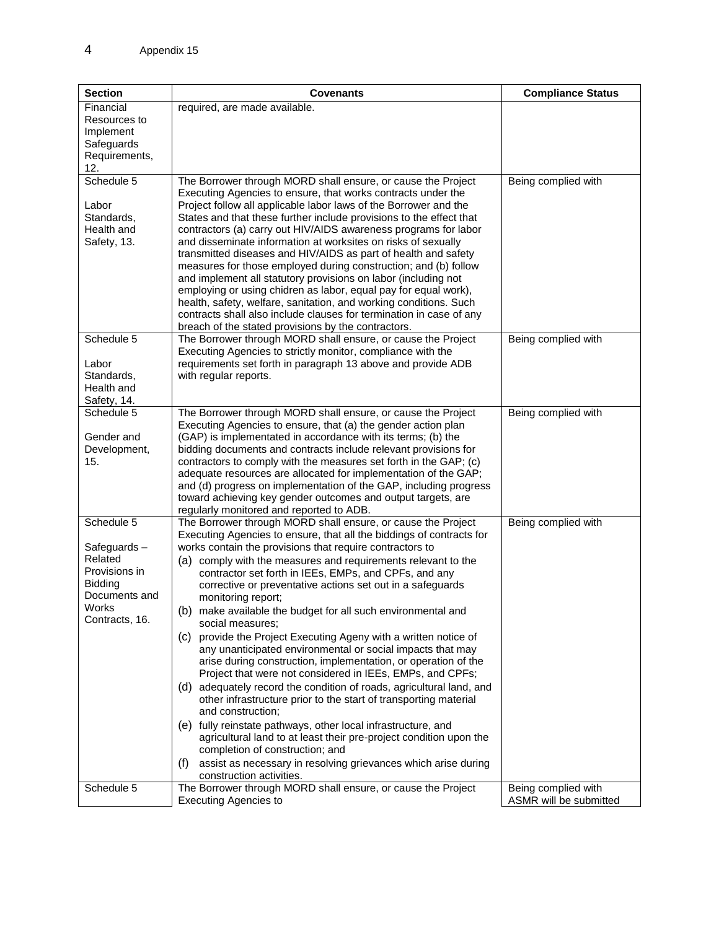| <b>Section</b>                                                                                               | <b>Covenants</b>                                                                                                                                                                                                                                                                                                                                                                                                                                                                                                                                                                                                                                                                                                                                                                                                                                                                                                                                                                                                                                                                                                                                                                                                    | <b>Compliance Status</b>                      |
|--------------------------------------------------------------------------------------------------------------|---------------------------------------------------------------------------------------------------------------------------------------------------------------------------------------------------------------------------------------------------------------------------------------------------------------------------------------------------------------------------------------------------------------------------------------------------------------------------------------------------------------------------------------------------------------------------------------------------------------------------------------------------------------------------------------------------------------------------------------------------------------------------------------------------------------------------------------------------------------------------------------------------------------------------------------------------------------------------------------------------------------------------------------------------------------------------------------------------------------------------------------------------------------------------------------------------------------------|-----------------------------------------------|
| Financial<br>Resources to<br>Implement<br>Safeguards<br>Requirements,<br>12.                                 | required, are made available.                                                                                                                                                                                                                                                                                                                                                                                                                                                                                                                                                                                                                                                                                                                                                                                                                                                                                                                                                                                                                                                                                                                                                                                       |                                               |
| Schedule 5<br>Labor<br>Standards,<br>Health and<br>Safety, 13.                                               | The Borrower through MORD shall ensure, or cause the Project<br>Executing Agencies to ensure, that works contracts under the<br>Project follow all applicable labor laws of the Borrower and the<br>States and that these further include provisions to the effect that<br>contractors (a) carry out HIV/AIDS awareness programs for labor<br>and disseminate information at worksites on risks of sexually<br>transmitted diseases and HIV/AIDS as part of health and safety<br>measures for those employed during construction; and (b) follow<br>and implement all statutory provisions on labor (including not<br>employing or using chidren as labor, equal pay for equal work),<br>health, safety, welfare, sanitation, and working conditions. Such<br>contracts shall also include clauses for termination in case of any<br>breach of the stated provisions by the contractors.                                                                                                                                                                                                                                                                                                                            | Being complied with                           |
| Schedule 5<br>Labor<br>Standards,<br>Health and<br>Safety, 14.                                               | The Borrower through MORD shall ensure, or cause the Project<br>Executing Agencies to strictly monitor, compliance with the<br>requirements set forth in paragraph 13 above and provide ADB<br>with regular reports.                                                                                                                                                                                                                                                                                                                                                                                                                                                                                                                                                                                                                                                                                                                                                                                                                                                                                                                                                                                                | Being complied with                           |
| Schedule 5<br>Gender and<br>Development,<br>15.                                                              | The Borrower through MORD shall ensure, or cause the Project<br>Executing Agencies to ensure, that (a) the gender action plan<br>(GAP) is implementated in accordance with its terms; (b) the<br>bidding documents and contracts include relevant provisions for<br>contractors to comply with the measures set forth in the GAP; (c)<br>adequate resources are allocated for implementation of the GAP;<br>and (d) progress on implementation of the GAP, including progress<br>toward achieving key gender outcomes and output targets, are<br>regularly monitored and reported to ADB.                                                                                                                                                                                                                                                                                                                                                                                                                                                                                                                                                                                                                           | Being complied with                           |
| Schedule 5<br>Safeguards-<br>Related<br>Provisions in<br>Bidding<br>Documents and<br>Works<br>Contracts, 16. | The Borrower through MORD shall ensure, or cause the Project<br>Executing Agencies to ensure, that all the biddings of contracts for<br>works contain the provisions that require contractors to<br>(a) comply with the measures and requirements relevant to the<br>contractor set forth in IEEs, EMPs, and CPFs, and any<br>corrective or preventative actions set out in a safeguards<br>monitoring report;<br>(b) make available the budget for all such environmental and<br>social measures;<br>(c) provide the Project Executing Ageny with a written notice of<br>any unanticipated environmental or social impacts that may<br>arise during construction, implementation, or operation of the<br>Project that were not considered in IEEs, EMPs, and CPFs;<br>(d) adequately record the condition of roads, agricultural land, and<br>other infrastructure prior to the start of transporting material<br>and construction;<br>(e) fully reinstate pathways, other local infrastructure, and<br>agricultural land to at least their pre-project condition upon the<br>completion of construction; and<br>assist as necessary in resolving grievances which arise during<br>(f)<br>construction activities. | Being complied with                           |
| Schedule 5                                                                                                   | The Borrower through MORD shall ensure, or cause the Project<br><b>Executing Agencies to</b>                                                                                                                                                                                                                                                                                                                                                                                                                                                                                                                                                                                                                                                                                                                                                                                                                                                                                                                                                                                                                                                                                                                        | Being complied with<br>ASMR will be submitted |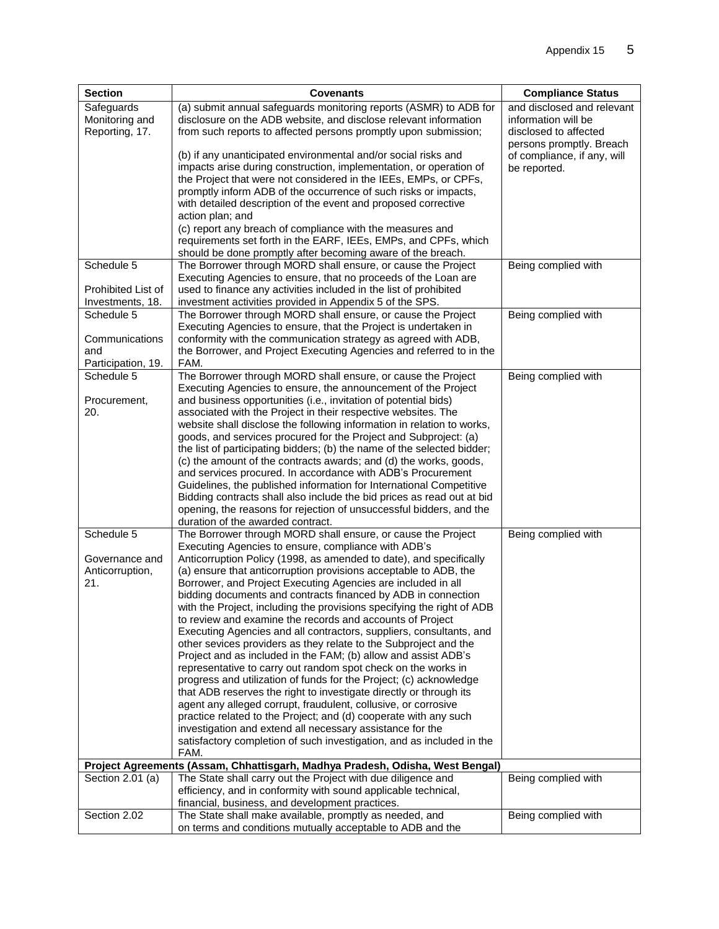| <b>Section</b>                                            | <b>Covenants</b>                                                                                                                                                                                                                                                                                                                                                                                                                                                                                                                                                                                                                                                                                                                                                                                                                                                                                                                                                                                                                                                                                                                                                                                                                                    | <b>Compliance Status</b>                                                                               |
|-----------------------------------------------------------|-----------------------------------------------------------------------------------------------------------------------------------------------------------------------------------------------------------------------------------------------------------------------------------------------------------------------------------------------------------------------------------------------------------------------------------------------------------------------------------------------------------------------------------------------------------------------------------------------------------------------------------------------------------------------------------------------------------------------------------------------------------------------------------------------------------------------------------------------------------------------------------------------------------------------------------------------------------------------------------------------------------------------------------------------------------------------------------------------------------------------------------------------------------------------------------------------------------------------------------------------------|--------------------------------------------------------------------------------------------------------|
| Safeguards<br>Monitoring and<br>Reporting, 17.            | (a) submit annual safeguards monitoring reports (ASMR) to ADB for<br>disclosure on the ADB website, and disclose relevant information<br>from such reports to affected persons promptly upon submission;                                                                                                                                                                                                                                                                                                                                                                                                                                                                                                                                                                                                                                                                                                                                                                                                                                                                                                                                                                                                                                            | and disclosed and relevant<br>information will be<br>disclosed to affected<br>persons promptly. Breach |
|                                                           | (b) if any unanticipated environmental and/or social risks and<br>impacts arise during construction, implementation, or operation of<br>the Project that were not considered in the IEEs, EMPs, or CPFs,<br>promptly inform ADB of the occurrence of such risks or impacts,<br>with detailed description of the event and proposed corrective<br>action plan; and<br>(c) report any breach of compliance with the measures and                                                                                                                                                                                                                                                                                                                                                                                                                                                                                                                                                                                                                                                                                                                                                                                                                      | of compliance, if any, will<br>be reported.                                                            |
|                                                           | requirements set forth in the EARF, IEEs, EMPs, and CPFs, which<br>should be done promptly after becoming aware of the breach.                                                                                                                                                                                                                                                                                                                                                                                                                                                                                                                                                                                                                                                                                                                                                                                                                                                                                                                                                                                                                                                                                                                      |                                                                                                        |
| Schedule 5<br>Prohibited List of<br>Investments, 18.      | The Borrower through MORD shall ensure, or cause the Project<br>Executing Agencies to ensure, that no proceeds of the Loan are<br>used to finance any activities included in the list of prohibited<br>investment activities provided in Appendix 5 of the SPS.                                                                                                                                                                                                                                                                                                                                                                                                                                                                                                                                                                                                                                                                                                                                                                                                                                                                                                                                                                                     | Being complied with                                                                                    |
| Schedule 5<br>Communications<br>and<br>Participation, 19. | The Borrower through MORD shall ensure, or cause the Project<br>Executing Agencies to ensure, that the Project is undertaken in<br>conformity with the communication strategy as agreed with ADB,<br>the Borrower, and Project Executing Agencies and referred to in the<br>FAM.                                                                                                                                                                                                                                                                                                                                                                                                                                                                                                                                                                                                                                                                                                                                                                                                                                                                                                                                                                    | Being complied with                                                                                    |
| Schedule 5<br>Procurement,<br>20.                         | The Borrower through MORD shall ensure, or cause the Project<br>Executing Agencies to ensure, the announcement of the Project<br>and business opportunities (i.e., invitation of potential bids)<br>associated with the Project in their respective websites. The<br>website shall disclose the following information in relation to works,<br>goods, and services procured for the Project and Subproject: (a)<br>the list of participating bidders; (b) the name of the selected bidder;<br>(c) the amount of the contracts awards; and (d) the works, goods,<br>and services procured. In accordance with ADB's Procurement<br>Guidelines, the published information for International Competitive<br>Bidding contracts shall also include the bid prices as read out at bid<br>opening, the reasons for rejection of unsuccessful bidders, and the<br>duration of the awarded contract.                                                                                                                                                                                                                                                                                                                                                         | Being complied with                                                                                    |
| Schedule 5<br>Governance and<br>Anticorruption,<br>21.    | The Borrower through MORD shall ensure, or cause the Project<br>Executing Agencies to ensure, compliance with ADB's<br>Anticorruption Policy (1998, as amended to date), and specifically<br>(a) ensure that anticorruption provisions acceptable to ADB, the<br>Borrower, and Project Executing Agencies are included in all<br>bidding documents and contracts financed by ADB in connection<br>with the Project, including the provisions specifying the right of ADB<br>to review and examine the records and accounts of Project<br>Executing Agencies and all contractors, suppliers, consultants, and<br>other sevices providers as they relate to the Subproject and the<br>Project and as included in the FAM; (b) allow and assist ADB's<br>representative to carry out random spot check on the works in<br>progress and utilization of funds for the Project; (c) acknowledge<br>that ADB reserves the right to investigate directly or through its<br>agent any alleged corrupt, fraudulent, collusive, or corrosive<br>practice related to the Project; and (d) cooperate with any such<br>investigation and extend all necessary assistance for the<br>satisfactory completion of such investigation, and as included in the<br>FAM. | Being complied with                                                                                    |
|                                                           | Project Agreements (Assam, Chhattisgarh, Madhya Pradesh, Odisha, West Bengal)                                                                                                                                                                                                                                                                                                                                                                                                                                                                                                                                                                                                                                                                                                                                                                                                                                                                                                                                                                                                                                                                                                                                                                       |                                                                                                        |
| Section 2.01 (a)                                          | The State shall carry out the Project with due diligence and<br>efficiency, and in conformity with sound applicable technical,<br>financial, business, and development practices.                                                                                                                                                                                                                                                                                                                                                                                                                                                                                                                                                                                                                                                                                                                                                                                                                                                                                                                                                                                                                                                                   | Being complied with                                                                                    |
| Section 2.02                                              | The State shall make available, promptly as needed, and<br>on terms and conditions mutually acceptable to ADB and the                                                                                                                                                                                                                                                                                                                                                                                                                                                                                                                                                                                                                                                                                                                                                                                                                                                                                                                                                                                                                                                                                                                               | Being complied with                                                                                    |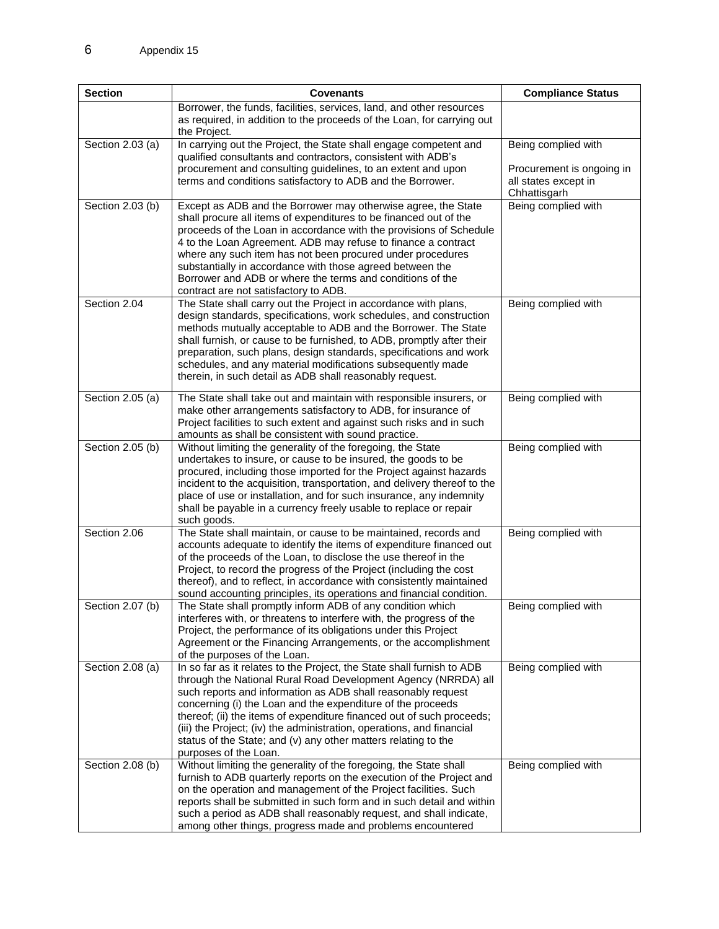| <b>Section</b>                       | <b>Covenants</b>                                                                                                                                                                                                                                                                                                                                                                                                                                                                                                                                                                          | <b>Compliance Status</b>                                          |
|--------------------------------------|-------------------------------------------------------------------------------------------------------------------------------------------------------------------------------------------------------------------------------------------------------------------------------------------------------------------------------------------------------------------------------------------------------------------------------------------------------------------------------------------------------------------------------------------------------------------------------------------|-------------------------------------------------------------------|
|                                      | Borrower, the funds, facilities, services, land, and other resources<br>as required, in addition to the proceeds of the Loan, for carrying out<br>the Project.                                                                                                                                                                                                                                                                                                                                                                                                                            |                                                                   |
| Section 2.03 (a)                     | In carrying out the Project, the State shall engage competent and                                                                                                                                                                                                                                                                                                                                                                                                                                                                                                                         | Being complied with                                               |
|                                      | qualified consultants and contractors, consistent with ADB's<br>procurement and consulting guidelines, to an extent and upon<br>terms and conditions satisfactory to ADB and the Borrower.                                                                                                                                                                                                                                                                                                                                                                                                | Procurement is ongoing in<br>all states except in<br>Chhattisgarh |
| Section 2.03 (b)                     | Except as ADB and the Borrower may otherwise agree, the State<br>shall procure all items of expenditures to be financed out of the<br>proceeds of the Loan in accordance with the provisions of Schedule<br>4 to the Loan Agreement. ADB may refuse to finance a contract<br>where any such item has not been procured under procedures<br>substantially in accordance with those agreed between the<br>Borrower and ADB or where the terms and conditions of the<br>contract are not satisfactory to ADB.                                                                                | Being complied with                                               |
| Section 2.04                         | The State shall carry out the Project in accordance with plans,<br>design standards, specifications, work schedules, and construction<br>methods mutually acceptable to ADB and the Borrower. The State<br>shall furnish, or cause to be furnished, to ADB, promptly after their<br>preparation, such plans, design standards, specifications and work<br>schedules, and any material modifications subsequently made<br>therein, in such detail as ADB shall reasonably request.                                                                                                         | Being complied with                                               |
| Section 2.05 (a)                     | The State shall take out and maintain with responsible insurers, or<br>make other arrangements satisfactory to ADB, for insurance of<br>Project facilities to such extent and against such risks and in such<br>amounts as shall be consistent with sound practice.                                                                                                                                                                                                                                                                                                                       | Being complied with                                               |
| Section 2.05 (b)                     | Without limiting the generality of the foregoing, the State<br>undertakes to insure, or cause to be insured, the goods to be<br>procured, including those imported for the Project against hazards<br>incident to the acquisition, transportation, and delivery thereof to the<br>place of use or installation, and for such insurance, any indemnity<br>shall be payable in a currency freely usable to replace or repair<br>such goods.                                                                                                                                                 | Being complied with                                               |
| Section 2.06                         | The State shall maintain, or cause to be maintained, records and<br>accounts adequate to identify the items of expenditure financed out<br>of the proceeds of the Loan, to disclose the use thereof in the<br>Project, to record the progress of the Project (including the cost<br>thereof), and to reflect, in accordance with consistently maintained<br>sound accounting principles, its operations and financial condition.                                                                                                                                                          | Being complied with                                               |
| Section 2.07 (b)                     | The State shall promptly inform ADB of any condition which<br>interferes with, or threatens to interfere with, the progress of the<br>Project, the performance of its obligations under this Project<br>Agreement or the Financing Arrangements, or the accomplishment<br>of the purposes of the Loan.                                                                                                                                                                                                                                                                                    | Being complied with                                               |
| Section 2.08 (a)<br>Section 2.08 (b) | In so far as it relates to the Project, the State shall furnish to ADB<br>through the National Rural Road Development Agency (NRRDA) all<br>such reports and information as ADB shall reasonably request<br>concerning (i) the Loan and the expenditure of the proceeds<br>thereof; (ii) the items of expenditure financed out of such proceeds;<br>(iii) the Project; (iv) the administration, operations, and financial<br>status of the State; and (v) any other matters relating to the<br>purposes of the Loan.<br>Without limiting the generality of the foregoing, the State shall | Being complied with<br>Being complied with                        |
|                                      | furnish to ADB quarterly reports on the execution of the Project and<br>on the operation and management of the Project facilities. Such<br>reports shall be submitted in such form and in such detail and within<br>such a period as ADB shall reasonably request, and shall indicate,<br>among other things, progress made and problems encountered                                                                                                                                                                                                                                      |                                                                   |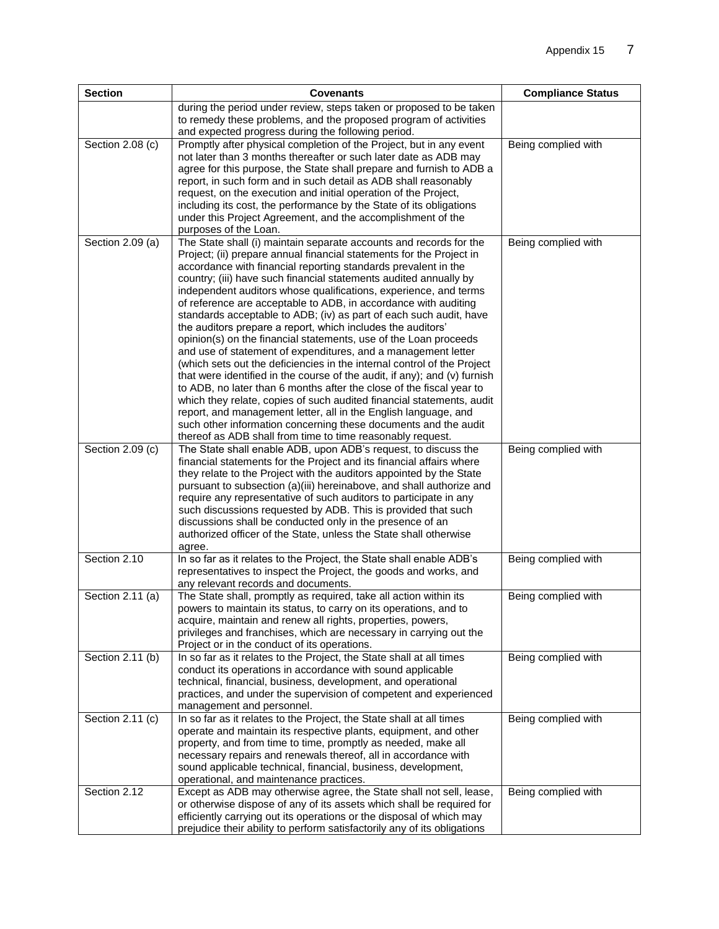| <b>Section</b>   | <b>Covenants</b>                                                                                                                                                                                                                                                                                                                                                                                                                                                                                                                                                                                                                                                                                                                                                                                                                                                                                                                                                                                                                                                                                                                                                                                                | <b>Compliance Status</b> |
|------------------|-----------------------------------------------------------------------------------------------------------------------------------------------------------------------------------------------------------------------------------------------------------------------------------------------------------------------------------------------------------------------------------------------------------------------------------------------------------------------------------------------------------------------------------------------------------------------------------------------------------------------------------------------------------------------------------------------------------------------------------------------------------------------------------------------------------------------------------------------------------------------------------------------------------------------------------------------------------------------------------------------------------------------------------------------------------------------------------------------------------------------------------------------------------------------------------------------------------------|--------------------------|
|                  | during the period under review, steps taken or proposed to be taken<br>to remedy these problems, and the proposed program of activities<br>and expected progress during the following period.                                                                                                                                                                                                                                                                                                                                                                                                                                                                                                                                                                                                                                                                                                                                                                                                                                                                                                                                                                                                                   |                          |
| Section 2.08 (c) | Promptly after physical completion of the Project, but in any event<br>not later than 3 months thereafter or such later date as ADB may<br>agree for this purpose, the State shall prepare and furnish to ADB a<br>report, in such form and in such detail as ADB shall reasonably<br>request, on the execution and initial operation of the Project,<br>including its cost, the performance by the State of its obligations<br>under this Project Agreement, and the accomplishment of the<br>purposes of the Loan.                                                                                                                                                                                                                                                                                                                                                                                                                                                                                                                                                                                                                                                                                            | Being complied with      |
| Section 2.09 (a) | The State shall (i) maintain separate accounts and records for the<br>Project; (ii) prepare annual financial statements for the Project in<br>accordance with financial reporting standards prevalent in the<br>country; (iii) have such financial statements audited annually by<br>independent auditors whose qualifications, experience, and terms<br>of reference are acceptable to ADB, in accordance with auditing<br>standards acceptable to ADB; (iv) as part of each such audit, have<br>the auditors prepare a report, which includes the auditors'<br>opinion(s) on the financial statements, use of the Loan proceeds<br>and use of statement of expenditures, and a management letter<br>(which sets out the deficiencies in the internal control of the Project<br>that were identified in the course of the audit, if any); and (v) furnish<br>to ADB, no later than 6 months after the close of the fiscal year to<br>which they relate, copies of such audited financial statements, audit<br>report, and management letter, all in the English language, and<br>such other information concerning these documents and the audit<br>thereof as ADB shall from time to time reasonably request. | Being complied with      |
| Section 2.09 (c) | The State shall enable ADB, upon ADB's request, to discuss the<br>financial statements for the Project and its financial affairs where<br>they relate to the Project with the auditors appointed by the State<br>pursuant to subsection (a)(iii) hereinabove, and shall authorize and<br>require any representative of such auditors to participate in any<br>such discussions requested by ADB. This is provided that such<br>discussions shall be conducted only in the presence of an<br>authorized officer of the State, unless the State shall otherwise<br>agree.                                                                                                                                                                                                                                                                                                                                                                                                                                                                                                                                                                                                                                         | Being complied with      |
| Section 2.10     | In so far as it relates to the Project, the State shall enable ADB's<br>representatives to inspect the Project, the goods and works, and<br>any relevant records and documents.                                                                                                                                                                                                                                                                                                                                                                                                                                                                                                                                                                                                                                                                                                                                                                                                                                                                                                                                                                                                                                 | Being complied with      |
| Section 2.11 (a) | The State shall, promptly as required, take all action within its<br>powers to maintain its status, to carry on its operations, and to<br>acquire, maintain and renew all rights, properties, powers,<br>privileges and franchises, which are necessary in carrying out the<br>Project or in the conduct of its operations.                                                                                                                                                                                                                                                                                                                                                                                                                                                                                                                                                                                                                                                                                                                                                                                                                                                                                     | Being complied with      |
| Section 2.11 (b) | In so far as it relates to the Project, the State shall at all times<br>conduct its operations in accordance with sound applicable<br>technical, financial, business, development, and operational<br>practices, and under the supervision of competent and experienced<br>management and personnel.                                                                                                                                                                                                                                                                                                                                                                                                                                                                                                                                                                                                                                                                                                                                                                                                                                                                                                            | Being complied with      |
| Section 2.11 (c) | In so far as it relates to the Project, the State shall at all times<br>operate and maintain its respective plants, equipment, and other<br>property, and from time to time, promptly as needed, make all<br>necessary repairs and renewals thereof, all in accordance with<br>sound applicable technical, financial, business, development,<br>operational, and maintenance practices.                                                                                                                                                                                                                                                                                                                                                                                                                                                                                                                                                                                                                                                                                                                                                                                                                         | Being complied with      |
| Section 2.12     | Except as ADB may otherwise agree, the State shall not sell, lease,<br>or otherwise dispose of any of its assets which shall be required for<br>efficiently carrying out its operations or the disposal of which may<br>prejudice their ability to perform satisfactorily any of its obligations                                                                                                                                                                                                                                                                                                                                                                                                                                                                                                                                                                                                                                                                                                                                                                                                                                                                                                                | Being complied with      |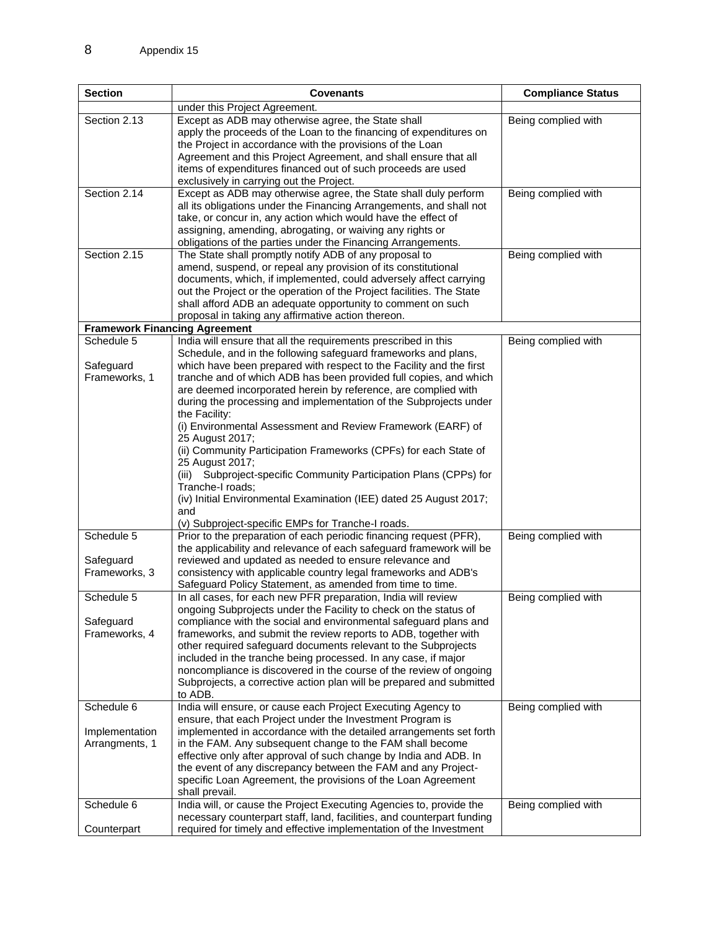| <b>Section</b>                       | Covenants                                                                                                                                  | <b>Compliance Status</b> |
|--------------------------------------|--------------------------------------------------------------------------------------------------------------------------------------------|--------------------------|
|                                      | under this Project Agreement.                                                                                                              |                          |
| Section 2.13                         | Except as ADB may otherwise agree, the State shall                                                                                         | Being complied with      |
|                                      | apply the proceeds of the Loan to the financing of expenditures on<br>the Project in accordance with the provisions of the Loan            |                          |
|                                      | Agreement and this Project Agreement, and shall ensure that all                                                                            |                          |
|                                      | items of expenditures financed out of such proceeds are used                                                                               |                          |
|                                      | exclusively in carrying out the Project.                                                                                                   |                          |
| Section 2.14                         | Except as ADB may otherwise agree, the State shall duly perform                                                                            | Being complied with      |
|                                      | all its obligations under the Financing Arrangements, and shall not<br>take, or concur in, any action which would have the effect of       |                          |
|                                      | assigning, amending, abrogating, or waiving any rights or                                                                                  |                          |
|                                      | obligations of the parties under the Financing Arrangements.                                                                               |                          |
| Section 2.15                         | The State shall promptly notify ADB of any proposal to                                                                                     | Being complied with      |
|                                      | amend, suspend, or repeal any provision of its constitutional                                                                              |                          |
|                                      | documents, which, if implemented, could adversely affect carrying<br>out the Project or the operation of the Project facilities. The State |                          |
|                                      | shall afford ADB an adequate opportunity to comment on such                                                                                |                          |
|                                      | proposal in taking any affirmative action thereon.                                                                                         |                          |
| <b>Framework Financing Agreement</b> |                                                                                                                                            |                          |
| Schedule 5                           | India will ensure that all the requirements prescribed in this<br>Schedule, and in the following safeguard frameworks and plans,           | Being complied with      |
| Safeguard                            | which have been prepared with respect to the Facility and the first                                                                        |                          |
| Frameworks, 1                        | tranche and of which ADB has been provided full copies, and which                                                                          |                          |
|                                      | are deemed incorporated herein by reference, are complied with                                                                             |                          |
|                                      | during the processing and implementation of the Subprojects under                                                                          |                          |
|                                      | the Facility:<br>(i) Environmental Assessment and Review Framework (EARF) of                                                               |                          |
|                                      | 25 August 2017;                                                                                                                            |                          |
|                                      | (ii) Community Participation Frameworks (CPFs) for each State of                                                                           |                          |
|                                      | 25 August 2017;                                                                                                                            |                          |
|                                      | (iii) Subproject-specific Community Participation Plans (CPPs) for<br>Tranche-I roads:                                                     |                          |
|                                      | (iv) Initial Environmental Examination (IEE) dated 25 August 2017;                                                                         |                          |
|                                      | and                                                                                                                                        |                          |
|                                      | (v) Subproject-specific EMPs for Tranche-I roads.                                                                                          |                          |
| Schedule 5                           | Prior to the preparation of each periodic financing request (PFR),<br>the applicability and relevance of each safeguard framework will be  | Being complied with      |
| Safeguard                            | reviewed and updated as needed to ensure relevance and                                                                                     |                          |
| Frameworks, 3                        | consistency with applicable country legal frameworks and ADB's                                                                             |                          |
|                                      | Safeguard Policy Statement, as amended from time to time.                                                                                  |                          |
| Schedule 5                           | In all cases, for each new PFR preparation, India will review<br>ongoing Subprojects under the Facility to check on the status of          | Being complied with      |
| Safeguard                            | compliance with the social and environmental safeguard plans and                                                                           |                          |
| Frameworks, 4                        | frameworks, and submit the review reports to ADB, together with                                                                            |                          |
|                                      | other required safeguard documents relevant to the Subprojects                                                                             |                          |
|                                      | included in the tranche being processed. In any case, if major<br>noncompliance is discovered in the course of the review of ongoing       |                          |
|                                      | Subprojects, a corrective action plan will be prepared and submitted                                                                       |                          |
|                                      | to ADB.                                                                                                                                    |                          |
| Schedule 6                           | India will ensure, or cause each Project Executing Agency to                                                                               | Being complied with      |
| Implementation                       | ensure, that each Project under the Investment Program is<br>implemented in accordance with the detailed arrangements set forth            |                          |
| Arrangments, 1                       | in the FAM. Any subsequent change to the FAM shall become                                                                                  |                          |
|                                      | effective only after approval of such change by India and ADB. In                                                                          |                          |
|                                      | the event of any discrepancy between the FAM and any Project-                                                                              |                          |
|                                      | specific Loan Agreement, the provisions of the Loan Agreement                                                                              |                          |
| Schedule 6                           | shall prevail.<br>India will, or cause the Project Executing Agencies to, provide the                                                      | Being complied with      |
|                                      | necessary counterpart staff, land, facilities, and counterpart funding                                                                     |                          |
| Counterpart                          | required for timely and effective implementation of the Investment                                                                         |                          |